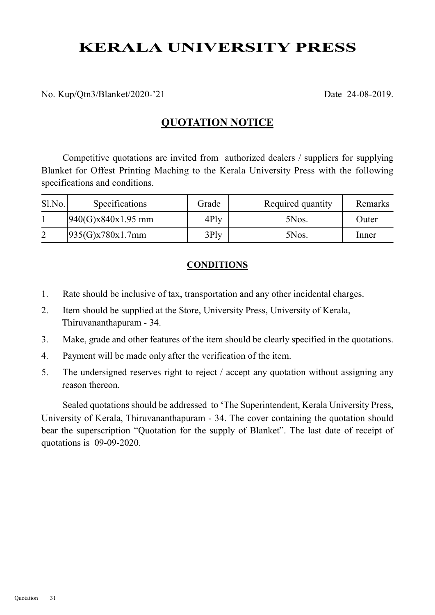# KERALA UNIVERSITY PRESS

No. Kup/Qtn3/Blanket/2020-'21 Date 24-08-2019.

### QUOTATION NOTICE

Competitive quotations are invited from authorized dealers / suppliers for supplying Blanket for Offest Printing Maching to the Kerala University Press with the following specifications and conditions.

| $S1$ . No. | <b>Specifications</b> | Grade   | Required quantity | Remarks |
|------------|-----------------------|---------|-------------------|---------|
|            | $[940(G)x840x1.95$ mm | $4$ Ply | 5Nos.             | Outer   |
|            | 935(G)x780x1.7mm      | $3$ Ply | 5Nos.             | Inner   |

#### **CONDITIONS**

- 1. Rate should be inclusive of tax, transportation and any other incidental charges.
- 2. Item should be supplied at the Store, University Press, University of Kerala, Thiruvananthapuram - 34.
- 3. Make, grade and other features of the item should be clearly specified in the quotations.
- 4. Payment will be made only after the verification of the item.
- 5. The undersigned reserves right to reject / accept any quotation without assigning any reason thereon.

Sealed quotations should be addressed to 'The Superintendent, Kerala University Press, University of Kerala, Thiruvananthapuram - 34. The cover containing the quotation should bear the superscription "Quotation for the supply of Blanket". The last date of receipt of quotations is 09-09-2020.